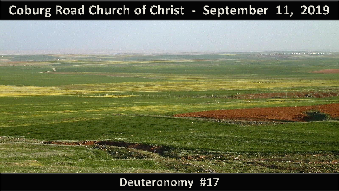#### **Coburg Road Church of Christ - September 11, 2019**

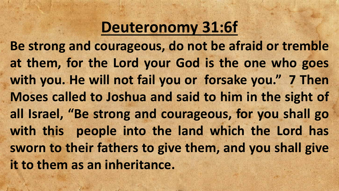## **Deuteronomy 31:6f**

**Be strong and courageous, do not be afraid or tremble at them, for the Lord your God is the one who goes with you. He will not fail you or forsake you. " 7 Then Moses called to Joshua and said to him in the sight of all Israel, "Be strong and courageous, for you shall go with this people into the land which the Lord has sworn to their fathers to give them, and you shall give it to them as an inheritance.**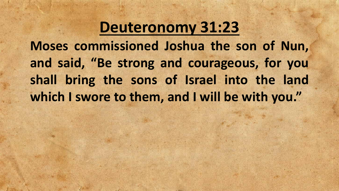#### **Deuteronomy 31:23**

**Moses commissioned Joshua the son of Nun, and said, "Be strong and courageous, for you shall bring the sons of Israel into the land which I swore to them, and I will be with you. "**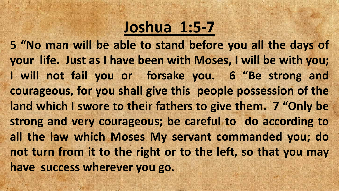## **Joshua 1:5-7**

**5 "No man will be able to stand before you all the days of your life. Just as I have been with Moses, I will be with you; I will not fail you or forsake you. 6 "Be strong and courageous, for you shall give this people possession of the land which I swore to their fathers to give them. 7 "Only be strong and very courageous; be careful to do according to all the law which Moses My servant commanded you; do not turn from it to the right or to the left, so that you may have success wherever you go.**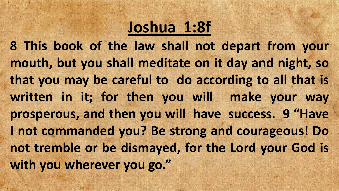# **Joshua 1:8f**

**8 This book of the law shall not depart from your mouth, but you shall meditate on it day and night, so that you may be careful to do according to all that is written in it; for then you will make your way prosperous, and then you will have success. 9 "Have I not commanded you? Be strong and courageous! Do not tremble or be dismayed, for the Lord your God is with you wherever you go. "**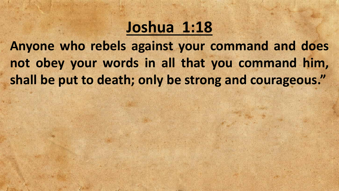#### **Joshua 1:18**

**Anyone who rebels against your command and does not obey your words in all that you command him, shall be put to death; only be strong and courageous. "**